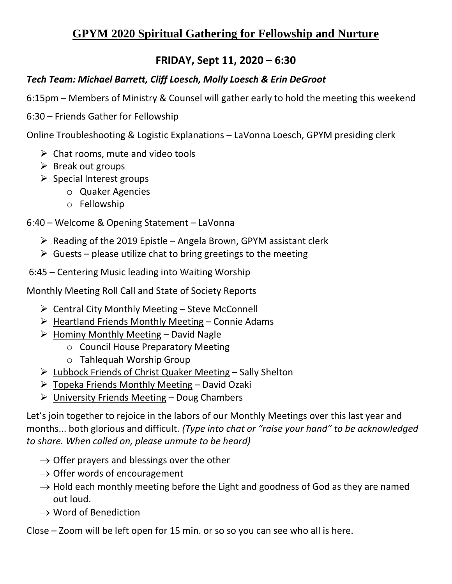# **GPYM 2020 Spiritual Gathering for Fellowship and Nurture**

# **FRIDAY, Sept 11, 2020 – 6:30**

#### *Tech Team: Michael Barrett, Cliff Loesch, Molly Loesch & Erin DeGroot*

6:15pm – Members of Ministry & Counsel will gather early to hold the meeting this weekend

6:30 – Friends Gather for Fellowship

Online Troubleshooting & Logistic Explanations – LaVonna Loesch, GPYM presiding clerk

- $\triangleright$  Chat rooms, mute and video tools
- $\triangleright$  Break out groups
- ➢ Special Interest groups
	- o Quaker Agencies
	- o Fellowship

### 6:40 – Welcome & Opening Statement – LaVonna

- $\triangleright$  Reading of the 2019 Epistle Angela Brown, GPYM assistant clerk
- $\triangleright$  Guests please utilize chat to bring greetings to the meeting

6:45 – Centering Music leading into Waiting Worship

Monthly Meeting Roll Call and State of Society Reports

- $\triangleright$  Central City Monthly Meeting Steve McConnell
- $\triangleright$  Heartland Friends Monthly Meeting Connie Adams
- $\triangleright$  Hominy Monthly Meeting David Nagle
	- o Council House Preparatory Meeting
	- o Tahlequah Worship Group
- ➢ Lubbock Friends of Christ Quaker Meeting Sally Shelton
- ➢ Topeka Friends Monthly Meeting David Ozaki
- $\triangleright$  University Friends Meeting Doug Chambers

Let's join together to rejoice in the labors of our Monthly Meetings over this last year and months... both glorious and difficult. *(Type into chat or "raise your hand" to be acknowledged to share. When called on, please unmute to be heard)*

- $\rightarrow$  Offer prayers and blessings over the other
- $\rightarrow$  Offer words of encouragement
- $\rightarrow$  Hold each monthly meeting before the Light and goodness of God as they are named out loud.
- $\rightarrow$  Word of Benediction

Close – Zoom will be left open for 15 min. or so so you can see who all is here.